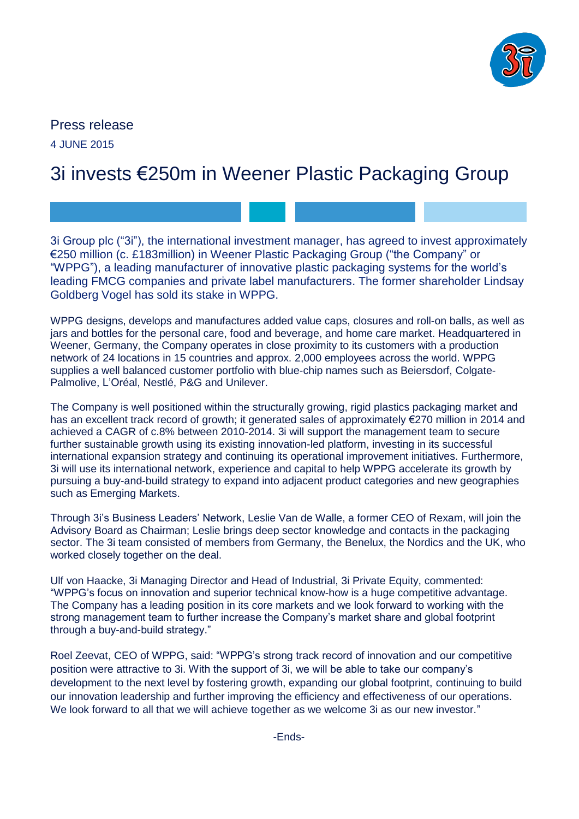

# Press release 4 JUNE 2015

# 3i invests €250m in Weener Plastic Packaging Group

3i Group plc ("3i"), the international investment manager, has agreed to invest approximately €250 million (c. £183million) in Weener Plastic Packaging Group ("the Company" or "WPPG"), a leading manufacturer of innovative plastic packaging systems for the world's leading FMCG companies and private label manufacturers. The former shareholder Lindsay Goldberg Vogel has sold its stake in WPPG.

WPPG designs, develops and manufactures added value caps, closures and roll-on balls, as well as jars and bottles for the personal care, food and beverage, and home care market. Headquartered in Weener, Germany, the Company operates in close proximity to its customers with a production network of 24 locations in 15 countries and approx. 2,000 employees across the world. WPPG supplies a well balanced customer portfolio with blue-chip names such as Beiersdorf, Colgate-Palmolive, L'Oréal, Nestlé, P&G and Unilever.

The Company is well positioned within the structurally growing, rigid plastics packaging market and has an excellent track record of growth; it generated sales of approximately €270 million in 2014 and achieved a CAGR of c.8% between 2010-2014. 3i will support the management team to secure further sustainable growth using its existing innovation-led platform, investing in its successful international expansion strategy and continuing its operational improvement initiatives. Furthermore, 3i will use its international network, experience and capital to help WPPG accelerate its growth by pursuing a buy-and-build strategy to expand into adjacent product categories and new geographies such as Emerging Markets.

Through 3i's Business Leaders' Network, Leslie Van de Walle, a former CEO of Rexam, will join the Advisory Board as Chairman; Leslie brings deep sector knowledge and contacts in the packaging sector. The 3i team consisted of members from Germany, the Benelux, the Nordics and the UK, who worked closely together on the deal.

Ulf von Haacke, 3i Managing Director and Head of Industrial, 3i Private Equity, commented: "WPPG's focus on innovation and superior technical know-how is a huge competitive advantage. The Company has a leading position in its core markets and we look forward to working with the strong management team to further increase the Company's market share and global footprint through a buy-and-build strategy."

Roel Zeevat, CEO of WPPG, said: "WPPG's strong track record of innovation and our competitive position were attractive to 3i. With the support of 3i, we will be able to take our company's development to the next level by fostering growth, expanding our global footprint, continuing to build our innovation leadership and further improving the efficiency and effectiveness of our operations. We look forward to all that we will achieve together as we welcome 3i as our new investor."